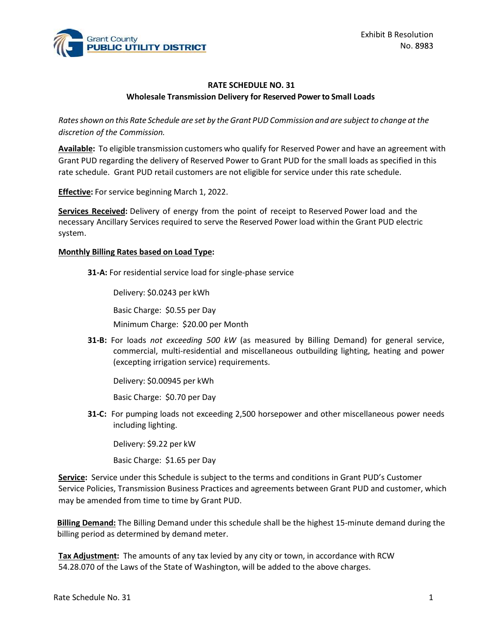

## RATE SCHEDULE NO. 31 Wholesale Transmission Delivery for Reserved Power to Small Loads

Rates shown on this Rate Schedule are set by the Grant PUD Commission and are subject to change at the discretion of the Commission.

EXINGT EVALUATE COUNTRICT EXAMPLE TO UP TO EXAMPLE THE SCHEDULE NO. 31<br>
RATE SCHEDULE NO. 31<br>
Wholesale Transmission Delivery for Reserved Power to Small Loads<br>
Rates shown on this Rate Schedule are set by the Grant PUD Co Grant PUD regarding the delivery of Reserved Power to Grant PUD for the small loads as specified in this rate schedule. Grant PUD retail customers are not eligible for service under this rate schedule. Exhibit B Resolution<br>
Rate Schering Rate Schere Received: No. 31<br>
Wholesale Transmission Delivery for Reserved Power to Small Loads<br>
Rates shown on this Rate Schedule are set by the Grant PUD Commission and are subject to Exhibit B Resolution<br>
PUBLIC UTILITY DISTRICT<br>
Molesale Transmission Delivery for Reserved Power to Small Loads<br>
Rates shown on this Rate Schedule are set by the Grant PUD Commission and are subject to change at the<br>
discr

**Effective:** For service beginning March 1, 2022.

system.

## Monthly Billing Rates based on Load Type:

31-A: For residential service load for single-phase service

Delivery: \$0.0243 per kWh

Basic Charge: \$0.55 per Day

Minimum Charge: \$20.00 per Month

**31-B:** For loads not exceeding 500 kW (as measured by Billing Demand) for general service, commercial, multi-residential and miscellaneous outbuilding lighting, heating and power (excepting irrigation service) requirements.

Delivery: \$0.00945 per kWh

Basic Charge: \$0.70 per Day

31-C: For pumping loads not exceeding 2,500 horsepower and other miscellaneous power needs including lighting.

Delivery: \$9.22 per kW

Basic Charge: \$1.65 per Day

Service: Service under this Schedule is subject to the terms and conditions in Grant PUD's Customer Delivery: \$0.0243 per kWh<br>
Basic Charge: \$0.55 per Day<br>
Minimum Charge: \$20.00 per Month<br>
31-B: For loads *not exceeding 500 kW* (as measured by Billing Demand) for general service,<br>
commercial, multi-residential and misce may be amended from time to time by Grant PUD.

Billing Demand: The Billing Demand under this schedule shall be the highest 15-minute demand during the billing period as determined by demand meter.

Tax Adjustment: The amounts of any tax levied by any city or town, in accordance with RCW 54.28.070 of the Laws of the State of Washington, will be added to the above charges.